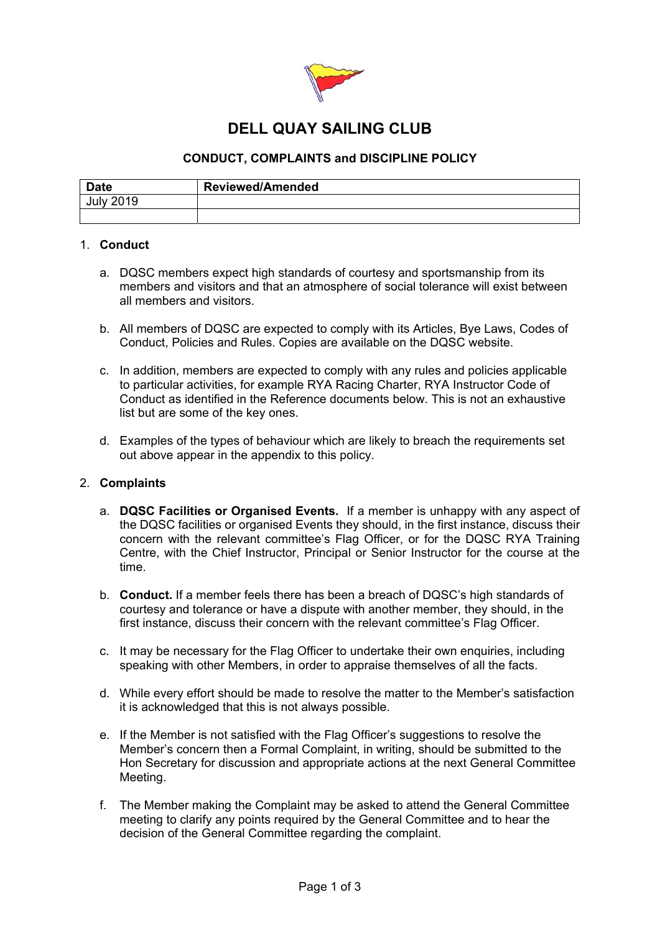

## **DELL QUAY SAILING CLUB**

## **CONDUCT, COMPLAINTS and DISCIPLINE POLICY**

| <b>Date</b> | <b>Reviewed/Amended</b> |
|-------------|-------------------------|
| a matsa Ca  |                         |
|             |                         |

### 1. **Conduct**

- a. DQSC members expect high standards of courtesy and sportsmanship from its members and visitors and that an atmosphere of social tolerance will exist between all members and visitors.
- b. All members of DQSC are expected to comply with its Articles, Bye Laws, Codes of Conduct, Policies and Rules. Copies are available on the DQSC website.
- c. In addition, members are expected to comply with any rules and policies applicable to particular activities, for example RYA Racing Charter, RYA Instructor Code of Conduct as identified in the Reference documents below. This is not an exhaustive list but are some of the key ones.
- d. Examples of the types of behaviour which are likely to breach the requirements set out above appear in the appendix to this policy.

#### 2. **Complaints**

- a. **DQSC Facilities or Organised Events.** If a member is unhappy with any aspect of the DQSC facilities or organised Events they should, in the first instance, discuss their concern with the relevant committee's Flag Officer, or for the DQSC RYA Training Centre, with the Chief Instructor, Principal or Senior Instructor for the course at the time.
- b. **Conduct.** If a member feels there has been a breach of DQSC's high standards of courtesy and tolerance or have a dispute with another member, they should, in the first instance, discuss their concern with the relevant committee's Flag Officer.
- c. It may be necessary for the Flag Officer to undertake their own enquiries, including speaking with other Members, in order to appraise themselves of all the facts.
- d. While every effort should be made to resolve the matter to the Member's satisfaction it is acknowledged that this is not always possible.
- e. If the Member is not satisfied with the Flag Officer's suggestions to resolve the Member's concern then a Formal Complaint, in writing, should be submitted to the Hon Secretary for discussion and appropriate actions at the next General Committee Meeting.
- f. The Member making the Complaint may be asked to attend the General Committee meeting to clarify any points required by the General Committee and to hear the decision of the General Committee regarding the complaint.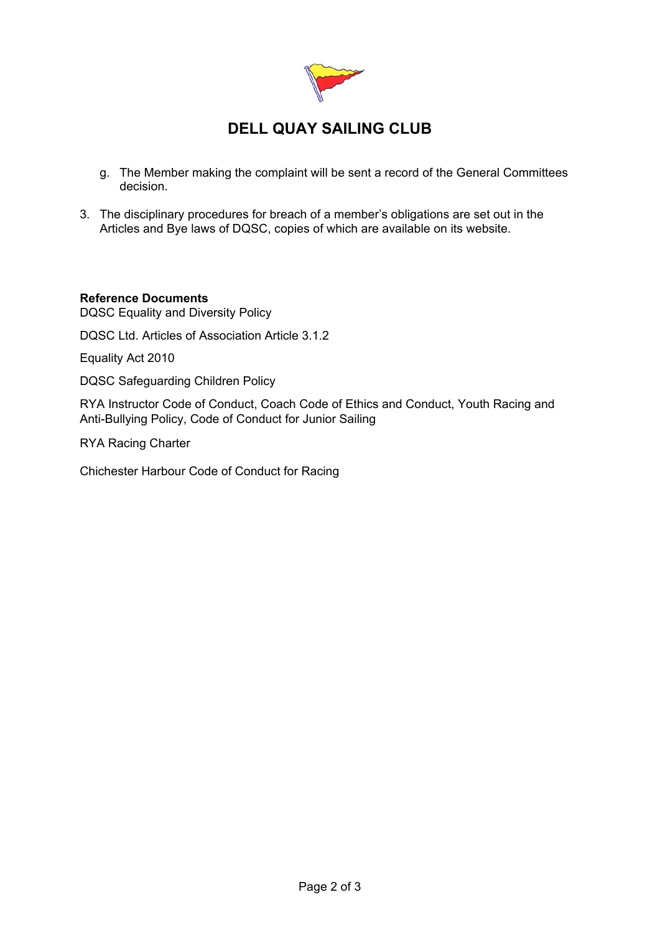

# **DELL QUAY SAILING CLUB**

- g. The Member making the complaint will be sent a record of the General Committees decision.
- 3. The disciplinary procedures for breach of a member's obligations are set out in the Articles and Bye laws of DQSC, copies of which are available on its website.

### **Reference Documents**

DQSC Equality and Diversity Policy

DQSC Ltd. Articles of Association Article 3.1.2

Equality Act 2010

DQSC Safeguarding Children Policy

RYA Instructor Code of Conduct, Coach Code of Ethics and Conduct, Youth Racing and Anti-Bullying Policy, Code of Conduct for Junior Sailing

RYA Racing Charter

Chichester Harbour Code of Conduct for Racing